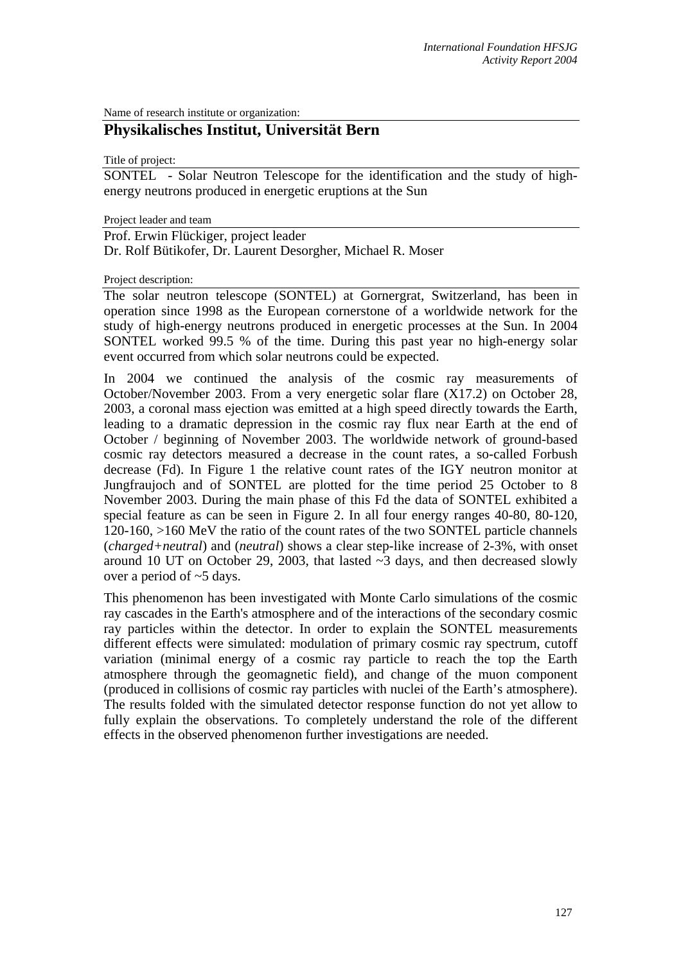Name of research institute or organization:

## **Physikalisches Institut, Universität Bern**

Title of project:

SONTEL - Solar Neutron Telescope for the identification and the study of highenergy neutrons produced in energetic eruptions at the Sun

Project leader and team

Prof. Erwin Flückiger, project leader Dr. Rolf Bütikofer, Dr. Laurent Desorgher, Michael R. Moser

Project description:

The solar neutron telescope (SONTEL) at Gornergrat, Switzerland, has been in operation since 1998 as the European cornerstone of a worldwide network for the study of high-energy neutrons produced in energetic processes at the Sun. In 2004 SONTEL worked 99.5 % of the time. During this past year no high-energy solar event occurred from which solar neutrons could be expected.

In 2004 we continued the analysis of the cosmic ray measurements of October/November 2003. From a very energetic solar flare (X17.2) on October 28, 2003, a coronal mass ejection was emitted at a high speed directly towards the Earth, leading to a dramatic depression in the cosmic ray flux near Earth at the end of October / beginning of November 2003. The worldwide network of ground-based cosmic ray detectors measured a decrease in the count rates, a so-called Forbush decrease (Fd). In Figure 1 the relative count rates of the IGY neutron monitor at Jungfraujoch and of SONTEL are plotted for the time period 25 October to 8 November 2003. During the main phase of this Fd the data of SONTEL exhibited a special feature as can be seen in Figure 2. In all four energy ranges 40-80, 80-120, 120-160, >160 MeV the ratio of the count rates of the two SONTEL particle channels (*charged+neutral*) and (*neutral*) shows a clear step-like increase of 2-3%, with onset around 10 UT on October 29, 2003, that lasted  $\sim$ 3 days, and then decreased slowly over a period of ~5 days.

This phenomenon has been investigated with Monte Carlo simulations of the cosmic ray cascades in the Earth's atmosphere and of the interactions of the secondary cosmic ray particles within the detector. In order to explain the SONTEL measurements different effects were simulated: modulation of primary cosmic ray spectrum, cutoff variation (minimal energy of a cosmic ray particle to reach the top the Earth atmosphere through the geomagnetic field), and change of the muon component (produced in collisions of cosmic ray particles with nuclei of the Earth's atmosphere). The results folded with the simulated detector response function do not yet allow to fully explain the observations. To completely understand the role of the different effects in the observed phenomenon further investigations are needed.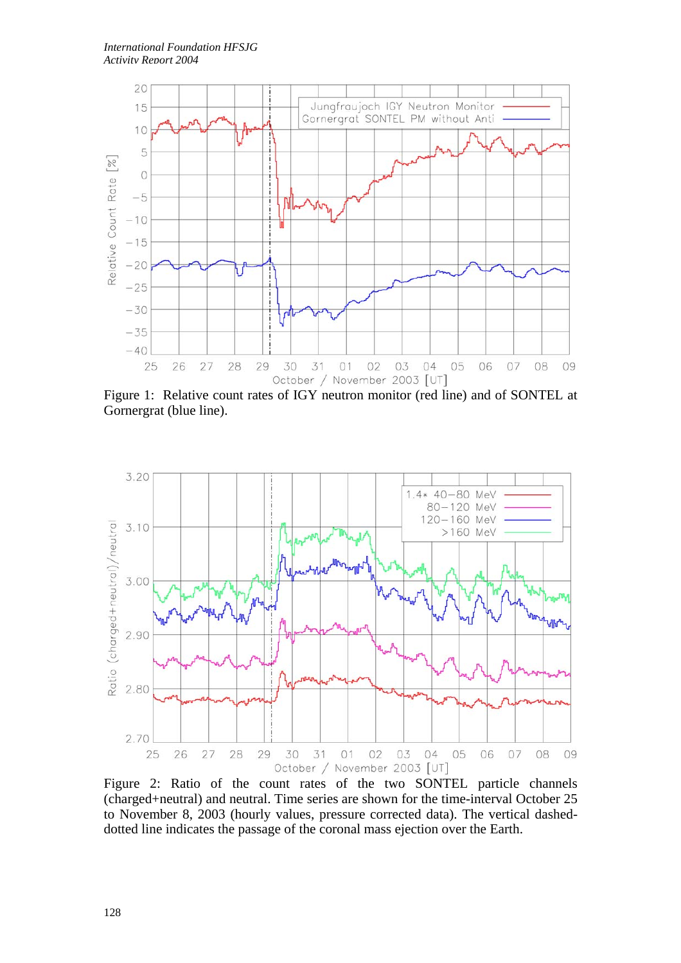

Figure 1: Relative count rates of IGY neutron monitor (red line) and of SONTEL at Gornergrat (blue line).



Figure 2: Ratio of the count rates of the two SONTEL particle channels (charged+neutral) and neutral. Time series are shown for the time-interval October 25 to November 8, 2003 (hourly values, pressure corrected data). The vertical dasheddotted line indicates the passage of the coronal mass ejection over the Earth.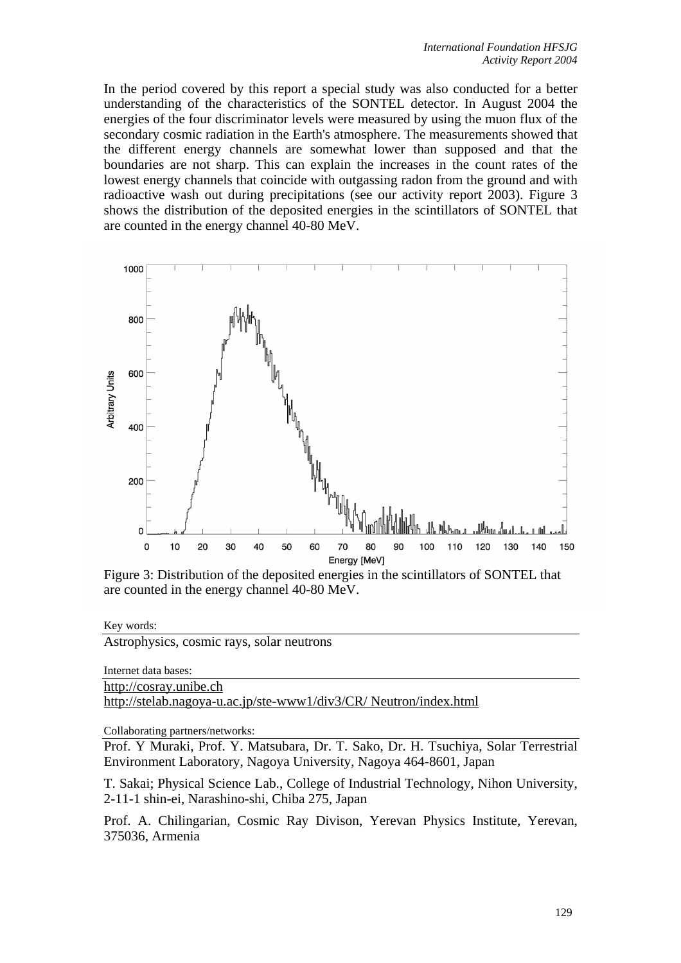In the period covered by this report a special study was also conducted for a better understanding of the characteristics of the SONTEL detector. In August 2004 the energies of the four discriminator levels were measured by using the muon flux of the secondary cosmic radiation in the Earth's atmosphere. The measurements showed that the different energy channels are somewhat lower than supposed and that the boundaries are not sharp. This can explain the increases in the count rates of the lowest energy channels that coincide with outgassing radon from the ground and with radioactive wash out during precipitations (see our activity report 2003). Figure 3 shows the distribution of the deposited energies in the scintillators of SONTEL that are counted in the energy channel 40-80 MeV.



Figure 3: Distribution of the deposited energies in the scintillators of SONTEL that are counted in the energy channel 40-80 MeV.

Key words:

Astrophysics, cosmic rays, solar neutrons

Internet data bases: http://cosray.unibe.ch http://stelab.nagoya-u.ac.jp/ste-www1/div3/CR/ Neutron/index.html

Collaborating partners/networks:

Prof. Y Muraki, Prof. Y. Matsubara, Dr. T. Sako, Dr. H. Tsuchiya, Solar Terrestrial Environment Laboratory, Nagoya University, Nagoya 464-8601, Japan

T. Sakai; Physical Science Lab., College of Industrial Technology, Nihon University, 2-11-1 shin-ei, Narashino-shi, Chiba 275, Japan

Prof. A. Chilingarian, Cosmic Ray Divison, Yerevan Physics Institute, Yerevan, 375036, Armenia